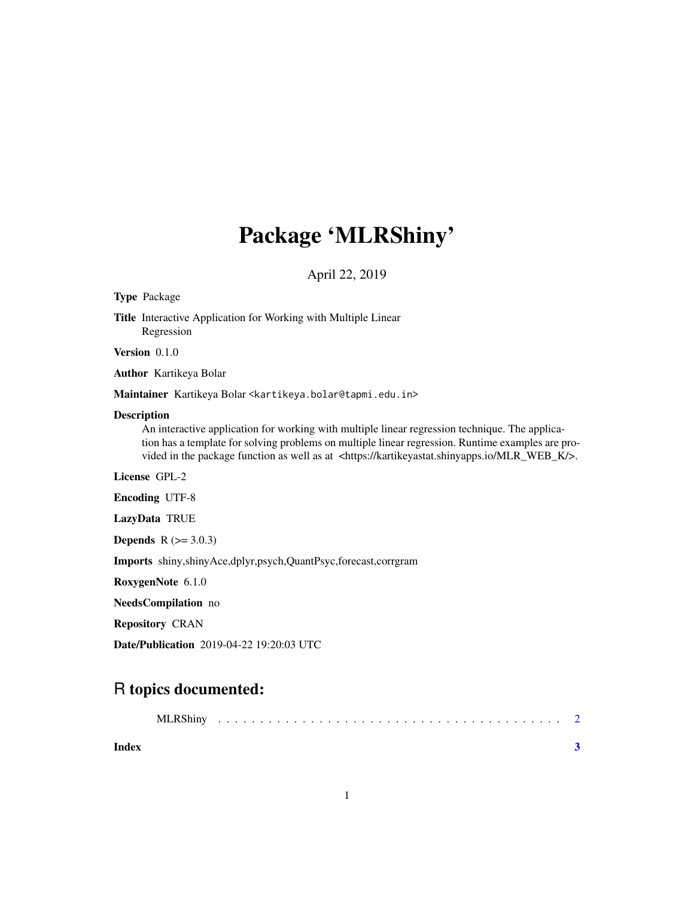# Package 'MLRShiny'

April 22, 2019

## Type Package Title Interactive Application for Working with Multiple Linear Regression Version 0.1.0 Author Kartikeya Bolar

Maintainer Kartikeya Bolar <kartikeya.bolar@tapmi.edu.in>

#### Description

An interactive application for working with multiple linear regression technique. The application has a template for solving problems on multiple linear regression. Runtime examples are provided in the package function as well as at <https://kartikeyastat.shinyapps.io/MLR\_WEB\_K/>.

License GPL-2

Encoding UTF-8

LazyData TRUE

**Depends** R  $(>= 3.0.3)$ 

Imports shiny,shinyAce,dplyr,psych,QuantPsyc,forecast,corrgram

RoxygenNote 6.1.0

NeedsCompilation no

Repository CRAN

Date/Publication 2019-04-22 19:20:03 UTC

### R topics documented:

| Index |  |  |  |  |  |  |  |  |  |  |  |  |  |  |  |  |  |
|-------|--|--|--|--|--|--|--|--|--|--|--|--|--|--|--|--|--|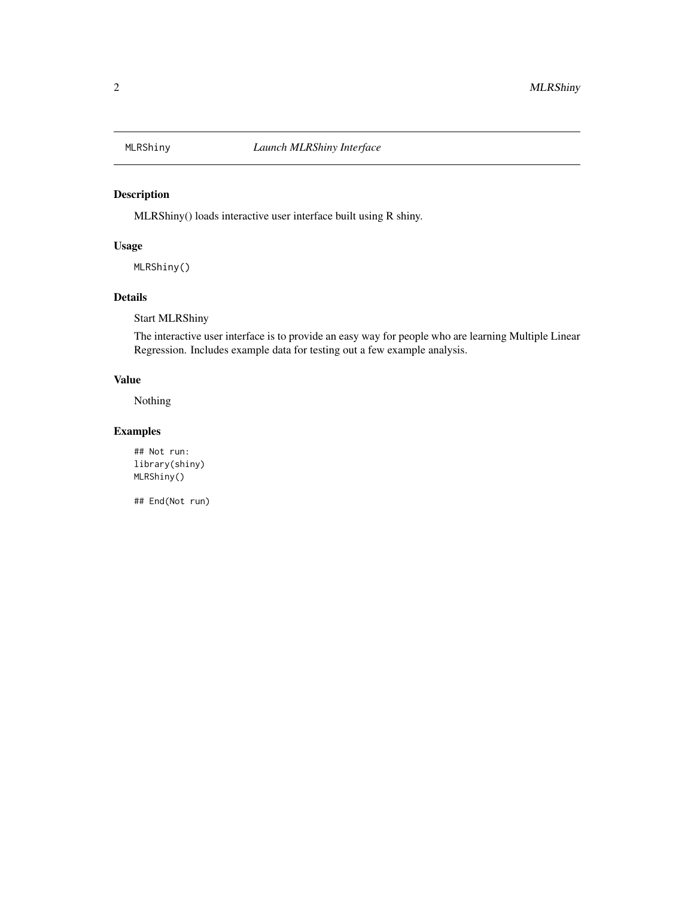<span id="page-1-0"></span>

#### Description

MLRShiny() loads interactive user interface built using R shiny.

#### Usage

MLRShiny()

#### Details

Start MLRShiny

The interactive user interface is to provide an easy way for people who are learning Multiple Linear Regression. Includes example data for testing out a few example analysis.

#### Value

Nothing

#### Examples

## Not run: library(shiny) MLRShiny()

## End(Not run)